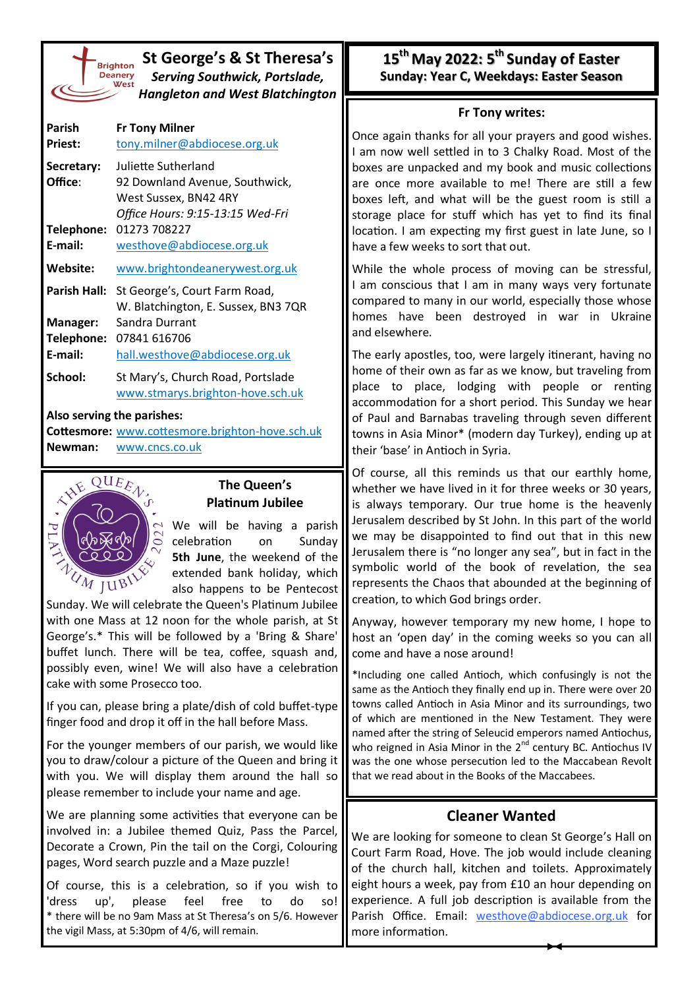| <b>Brighto</b> |
|----------------|
| <b>Deaner</b>  |
| We:            |
|                |
|                |

### **St George's & St Theresa's** *Serving Southwick, Portslade, Hangleton and West Blatchington*

| Parish<br><b>Priest:</b> | <b>Fr Tony Milner</b><br>tony.milner@abdiocese.org.uk                                                              |
|--------------------------|--------------------------------------------------------------------------------------------------------------------|
| Secretary:<br>Office:    | Juliette Sutherland<br>92 Downland Avenue, Southwick,<br>West Sussex, BN42 4RY<br>Office Hours: 9:15-13:15 Wed-Fri |
| Telephone:<br>E-mail:    | 01273 708227<br>westhove@abdiocese.org.uk                                                                          |
| Website:                 | www.brightondeanerywest.org.uk                                                                                     |
| Parish Hall:             | St George's, Court Farm Road,<br>W. Blatchington, E. Sussex, BN3 7QR                                               |
| Manager:                 | Sandra Durrant                                                                                                     |
| Telephone:               | 07841 616706                                                                                                       |
| E-mail:                  | hall.westhove@abdiocese.org.uk                                                                                     |
| School:                  | St Mary's, Church Road, Portslade<br>www.stmarys.brighton-hove.sch.uk                                              |

#### **Also serving the parishes:**

**Cottesmore:** [www.cottesmore.brighton](http://www.cottesmore.brighton-hove.sch.uk)-hove.sch.uk **Newman:** [www.cncs.co.uk](https://www.cncs.co.uk/)



#### **The Queen's Platinum Jubilee**

We will be having a parish celebration on Sunday **5th June**, the weekend of the extended bank holiday, which also happens to be Pentecost

Sunday. We will celebrate the Queen's Platinum Jubilee with one Mass at 12 noon for the whole parish, at St George's.\* This will be followed by a 'Bring & Share' buffet lunch. There will be tea, coffee, squash and, possibly even, wine! We will also have a celebration cake with some Prosecco too.

If you can, please bring a plate/dish of cold buffet-type finger food and drop it off in the hall before Mass.

For the younger members of our parish, we would like you to draw/colour a picture of the Queen and bring it with you. We will display them around the hall so please remember to include your name and age.

We are planning some activities that everyone can be involved in: a Jubilee themed Quiz, Pass the Parcel, Decorate a Crown, Pin the tail on the Corgi, Colouring pages, Word search puzzle and a Maze puzzle!

Of course, this is a celebration, so if you wish to 'dress up', please feel free to do so! \* there will be no 9am Mass at St Theresa's on 5/6. However the vigil Mass, at 5:30pm of 4/6, will remain.

## **15th May 2022: 5th Sunday of Easter Sunday: Year C, Weekdays: Easter Season**

#### **Fr Tony writes:**

Once again thanks for all your prayers and good wishes. I am now well settled in to 3 Chalky Road. Most of the boxes are unpacked and my book and music collections are once more available to me! There are still a few boxes left, and what will be the guest room is still a storage place for stuff which has yet to find its final location. I am expecting my first guest in late June, so I have a few weeks to sort that out.

While the whole process of moving can be stressful, I am conscious that I am in many ways very fortunate compared to many in our world, especially those whose homes have been destroyed in war in Ukraine and elsewhere.

The early apostles, too, were largely itinerant, having no home of their own as far as we know, but traveling from place to place, lodging with people or renting accommodation for a short period. This Sunday we hear of Paul and Barnabas traveling through seven different towns in Asia Minor\* (modern day Turkey), ending up at their 'base' in Antioch in Syria.

Of course, all this reminds us that our earthly home, whether we have lived in it for three weeks or 30 years, is always temporary. Our true home is the heavenly Jerusalem described by St John. In this part of the world we may be disappointed to find out that in this new Jerusalem there is "no longer any sea", but in fact in the symbolic world of the book of revelation, the sea represents the Chaos that abounded at the beginning of creation, to which God brings order.

Anyway, however temporary my new home, I hope to host an 'open day' in the coming weeks so you can all come and have a nose around!

\*Including one called Antioch, which confusingly is not the same as the Antioch they finally end up in. There were over 20 towns called Antioch in Asia Minor and its surroundings, two of which are mentioned in the New Testament. They were named after the string of Seleucid emperors named Antiochus, who reigned in Asia Minor in the 2<sup>nd</sup> century BC. Antiochus IV was the one whose persecution led to the Maccabean Revolt that we read about in the Books of the Maccabees.

# **Cleaner Wanted**

We are looking for someone to clean St George's Hall on Court Farm Road, Hove. The job would include cleaning of the church hall, kitchen and toilets. Approximately eight hours a week, pay from £10 an hour depending on experience. A full job description is available from the Parish Office. Email: [westhove](mailto:westhove@abdiocese.org.uk?subject=westhove@abdiocese.org.uk)[@abdiocese.org.uk](mailto:tony.milner@abdiocese.org.uk?subject=I%20am%20interested%20in%20the%20post%20of%20Parish%20Secretary) for more information.